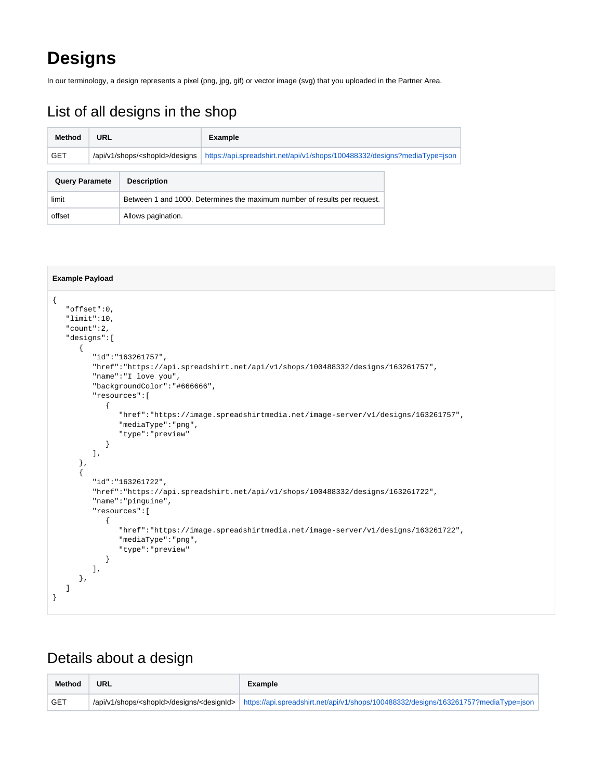## **Designs**

In our terminology, a design represents a pixel (png, jpg, gif) or vector image (svg) that you uploaded in the Partner Area.

## List of all designs in the shop

| Method                | URL                                      |                                                                           | <b>Example</b>                                                            |  |
|-----------------------|------------------------------------------|---------------------------------------------------------------------------|---------------------------------------------------------------------------|--|
| <b>GET</b>            | /api/v1/shops/ <shopid>/designs</shopid> |                                                                           | https://api.spreadshirt.net/api/v1/shops/100488332/designs?mediaType=json |  |
| <b>Query Paramete</b> |                                          | <b>Description</b>                                                        |                                                                           |  |
| limit                 |                                          | Between 1 and 1000. Determines the maximum number of results per request. |                                                                           |  |
| offset                |                                          | Allows pagination.                                                        |                                                                           |  |

```
Example Payload
{
    "offset":0,
   "limit":10,
    "count":2,
    "designs":[
       {
          "id":"163261757",
          "href":"https://api.spreadshirt.net/api/v1/shops/100488332/designs/163261757",
          "name":"I love you",
          "backgroundColor":"#666666",
          "resources":[
\{ "href":"https://image.spreadshirtmedia.net/image-server/v1/designs/163261757",
                "mediaType":"png",
                "type":"preview"
             }
          ],
       },
       {
          "id":"163261722",
          "href":"https://api.spreadshirt.net/api/v1/shops/100488332/designs/163261722",
          "name":"pinguine",
          "resources":[
             {
                "href":"https://image.spreadshirtmedia.net/image-server/v1/designs/163261722",
                "mediaType":"png",
                "type":"preview"
             }
         ],
      },
   ]
}
```
## Details about a design

| <b>Method</b> | <b>URL</b> | Example                                                                                                                                                |
|---------------|------------|--------------------------------------------------------------------------------------------------------------------------------------------------------|
| <b>GET</b>    |            | /api/v1/shops/ <shopid>/designs/<designid>   https://api.spreadshirt.net/api/v1/shops/100488332/designs/163261757?mediaType=ison  </designid></shopid> |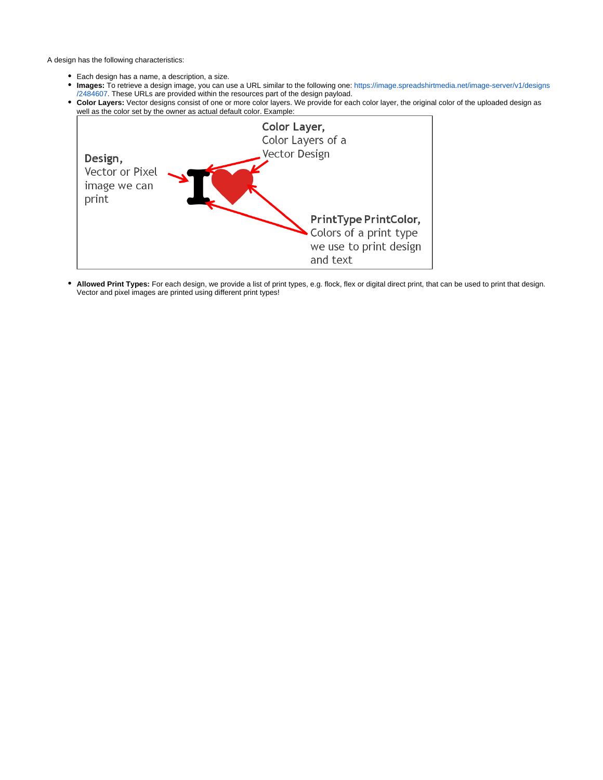A design has the following characteristics:

- Each design has a name, a description, a size.
- **Images:** To retrieve a design image, you can use a URL similar to the following one: [https://image.spreadshirtmedia.net/image-server/v1/designs](https://image.spreadshirtmedia.net/image-server/v1/designs/2484607) [/2484607](https://image.spreadshirtmedia.net/image-server/v1/designs/2484607). These URLs are provided within the resources part of the design payload.
- **Color Layers:** Vector designs consist of one or more color layers. We provide for each color layer, the original color of the uploaded design as well as the color set by the owner as actual default color. Example:



**Allowed Print Types:** For each design, we provide a list of print types, e.g. flock, flex or digital direct print, that can be used to print that design. Vector and pixel images are printed using different print types!